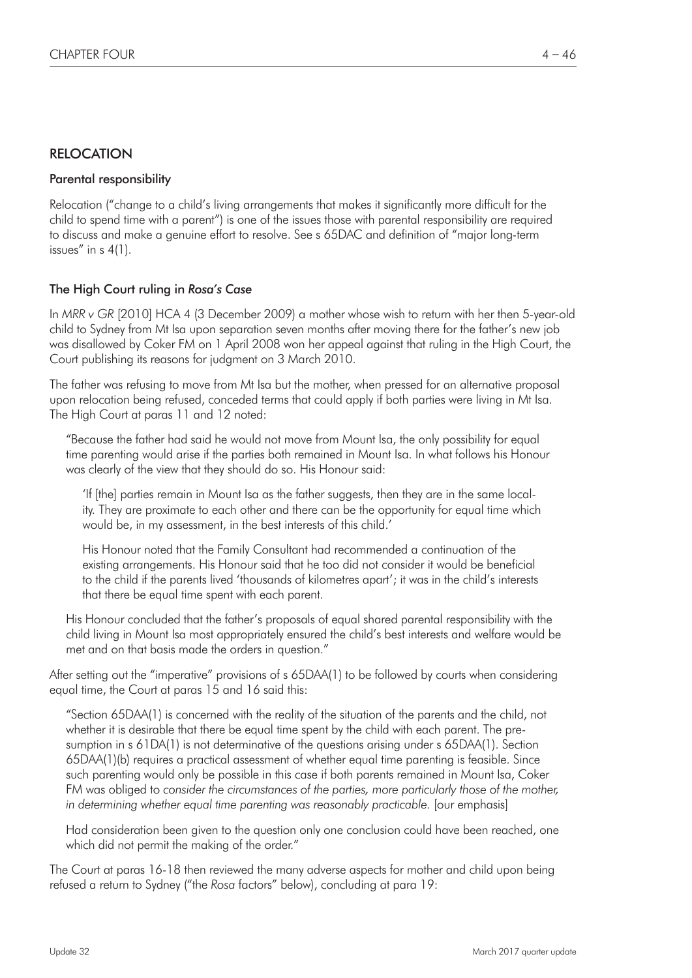# RELOCATION

### Parental responsibility

Relocation ("change to a child's living arrangements that makes it significantly more difficult for the child to spend time with a parent") is one of the issues those with parental responsibility are required to discuss and make a genuine effort to resolve. See s 65DAC and definition of "major long-term issues" in s 4(1).

## The High Court ruling in *Rosa's Case*

In *MRR v GR* [2010] HCA 4 (3 December 2009) a mother whose wish to return with her then 5-year-old child to Sydney from Mt Isa upon separation seven months after moving there for the father's new job was disallowed by Coker FM on 1 April 2008 won her appeal against that ruling in the High Court, the Court publishing its reasons for judgment on 3 March 2010.

The father was refusing to move from Mt Isa but the mother, when pressed for an alternative proposal upon relocation being refused, conceded terms that could apply if both parties were living in Mt Isa. The High Court at paras 11 and 12 noted:

"Because the father had said he would not move from Mount Isa, the only possibility for equal time parenting would arise if the parties both remained in Mount Isa. In what follows his Honour was clearly of the view that they should do so. His Honour said:

'If [the] parties remain in Mount Isa as the father suggests, then they are in the same locality. They are proximate to each other and there can be the opportunity for equal time which would be, in my assessment, in the best interests of this child.'

His Honour noted that the Family Consultant had recommended a continuation of the existing arrangements. His Honour said that he too did not consider it would be beneficial to the child if the parents lived 'thousands of kilometres apart'; it was in the child's interests that there be equal time spent with each parent.

His Honour concluded that the father's proposals of equal shared parental responsibility with the child living in Mount Isa most appropriately ensured the child's best interests and welfare would be met and on that basis made the orders in question."

After setting out the "imperative" provisions of s 65DAA(1) to be followed by courts when considering equal time, the Court at paras 15 and 16 said this:

"Section 65DAA(1) is concerned with the reality of the situation of the parents and the child, not whether it is desirable that there be equal time spent by the child with each parent. The presumption in s 61DA(1) is not determinative of the questions arising under s 65DAA(1). Section 65DAA(1)(b) requires a practical assessment of whether equal time parenting is feasible. Since such parenting would only be possible in this case if both parents remained in Mount Isa, Coker FM was obliged to *consider the circumstances of the parties, more particularly those of the mother, in determining whether equal time parenting was reasonably practicable.* [our emphasis]

Had consideration been given to the question only one conclusion could have been reached, one which did not permit the making of the order."

The Court at paras 16-18 then reviewed the many adverse aspects for mother and child upon being refused a return to Sydney ("the *Rosa* factors" below), concluding at para 19: